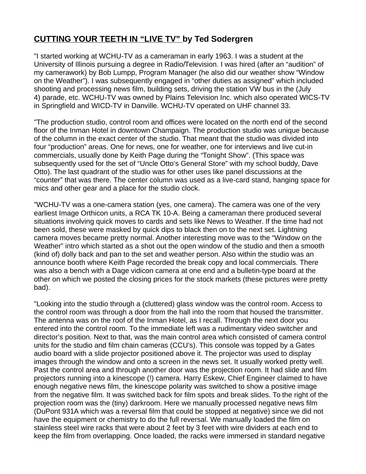## **CUTTING YOUR TEETH IN "LIVE TV" by Ted Sodergren**

"I started working at WCHU-TV as a cameraman in early 1963. I was a student at the University of Illinois pursuing a degree in Radio/Television. I was hired (after an "audition" of my camerawork) by Bob Lumpp, Program Manager (he also did our weather show "Window on the Weather"). I was subsequently engaged in "other duties as assigned" which included shooting and processing news film, building sets, driving the station VW bus in the (July 4) parade, etc. WCHU-TV was owned by Plains Television Inc. which also operated WICS-TV in Springfield and WICD-TV in Danville. WCHU-TV operated on UHF channel 33.

"The production studio, control room and offices were located on the north end of the second floor of the Inman Hotel in downtown Champaign. The production studio was unique because of the column in the exact center of the studio. That meant that the studio was divided into four "production" areas. One for news, one for weather, one for interviews and live cut-in commercials, usually done by Keith Page during the "Tonight Show". (This space was subsequently used for the set of "Uncle Otto's General Store" with my school buddy, Dave Otto). The last quadrant of the studio was for other uses like panel discussions at the "counter" that was there. The center column was used as a live-card stand, hanging space for mics and other gear and a place for the studio clock.

"WCHU-TV was a one-camera station (yes, one camera). The camera was one of the very earliest Image Orthicon units, a RCA TK 10-A. Being a cameraman there produced several situations involving quick moves to cards and sets like News to Weather. If the time had not been sold, these were masked by quick dips to black then on to the next set. Lightning camera moves became pretty normal. Another interesting move was to the "Window on the Weather" intro which started as a shot out the open window of the studio and then a smooth (kind of) dolly back and pan to the set and weather person. Also within the studio was an announce booth where Keith Page recorded the break copy and local commercials. There was also a bench with a Dage vidicon camera at one end and a bulletin-type board at the other on which we posted the closing prices for the stock markets (these pictures were pretty bad).

"Looking into the studio through a (cluttered) glass window was the control room. Access to the control room was through a door from the hall into the room that housed the transmitter. The antenna was on the roof of the Inman Hotel, as I recall. Through the next door you entered into the control room. To the immediate left was a rudimentary video switcher and director's position. Next to that, was the main control area which consisted of camera control units for the studio and film chain cameras (CCU's). This console was topped by a Gates audio board with a slide projector positioned above it. The projector was used to display images through the window and onto a screen in the news set. It usually worked pretty well. Past the control area and through another door was the projection room. It had slide and film projectors running into a kinescope (!) camera. Harry Eskew, Chief Engineer claimed to have enough negative news film, the kinescope polarity was switched to show a positive image from the negative film. It was switched back for film spots and break slides. To the right of the projection room was the (tiny) darkroom. Here we manually processed negative news film (DuPont 931A which was a reversal film that could be stopped at negative) since we did not have the equipment or chemistry to do the full reversal. We manually loaded the film on stainless steel wire racks that were about 2 feet by 3 feet with wire dividers at each end to keep the film from overlapping. Once loaded, the racks were immersed in standard negative